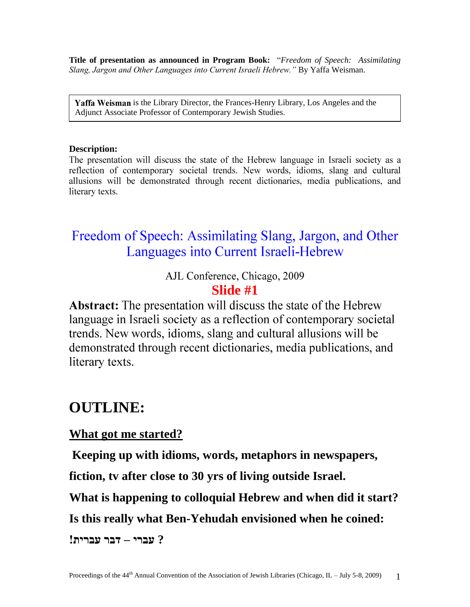**Title of presentation as announced in Program Book:** "*Freedom of Speech: Assimilating Slang, Jargon and Other Languages into Current Israeli Hebrew."* By Yaffa Weisman.

**Yaffa Weisman** is the Library Director, the Frances-Henry Library, Los Angeles and the Adjunct Associate Professor of Contemporary Jewish Studies.

#### **Description:**

The presentation will discuss the state of the Hebrew language in Israeli society as a reflection of contemporary societal trends. New words, idioms, slang and cultural allusions will be demonstrated through recent dictionaries, media publications, and literary texts.

# Freedom of Speech: Assimilating Slang, Jargon, and Other Languages into Current Israeli-Hebrew

AJL Conference, Chicago, 2009

### **Slide #1**

**Abstract:** The presentation will discuss the state of the Hebrew language in Israeli society as a reflection of contemporary societal trends. New words, idioms, slang and cultural allusions will be demonstrated through recent dictionaries, media publications, and literary texts.

# **OUTLINE:**

#### **What got me started?**

**Keeping up with idioms, words, metaphors in newspapers,** 

**fiction, tv after close to 30 yrs of living outside Israel.** 

**What is happening to colloquial Hebrew and when did it start?**

**Is this really what Ben-Yehudah envisioned when he coined:** 

**? עברי – דבר עברית!**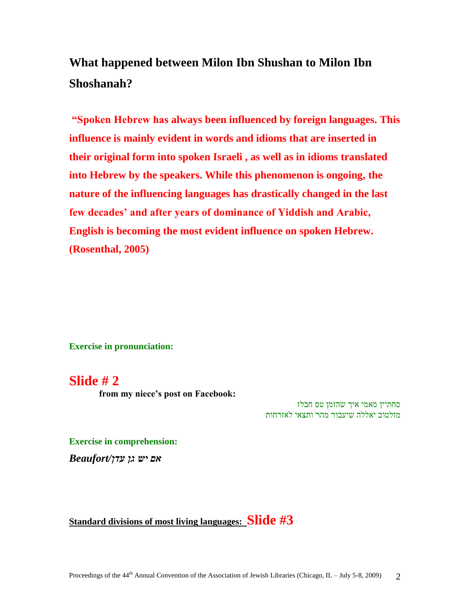# **What happened between Milon Ibn Shushan to Milon Ibn Shoshanah?**

**"Spoken Hebrew has always been influenced by foreign languages. This influence is mainly evident in words and idioms that are inserted in their original form into spoken Israeli , as well as in idioms translated into Hebrew by the speakers. While this phenomenon is ongoing, the nature of the influencing languages has drastically changed in the last few decades' and after years of dominance of Yiddish and Arabic, English is becoming the most evident influence on spoken Hebrew. (Rosenthal, 2005)** 

**Exercise in pronunciation:**

#### **Slide # 2**

 **from my niece's post on Facebook:** 

סחתיין מאמי איך שהזמן טס חבלז מזלטוב יאללה שיעבור מהר ותצאי לאזרחות

**Exercise in comprehension:**  *אם יש גן עדן/Beaufort*

**Standard divisions of most living languages: Slide #3**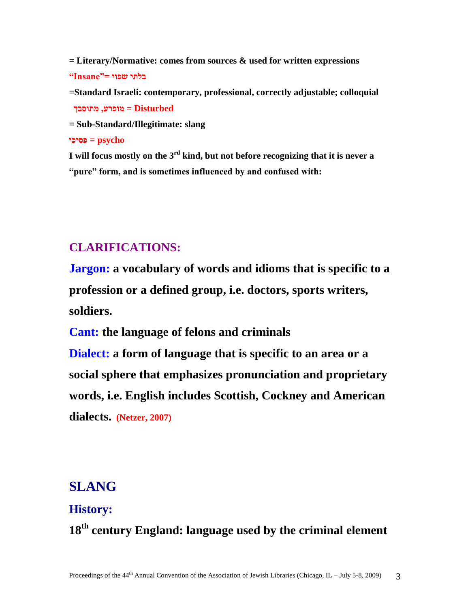**= Literary/Normative: comes from sources & used for written expressions בלתי שפוי ="Insane"**

**=Standard Israeli: contemporary, professional, correctly adjustable; colloquial Disturbed = מופרע, מתוסבך** 

**= Sub-Standard/Illegitimate: slang**

**psycho = פסיכי**

**I will focus mostly on the 3rd kind, but not before recognizing that it is never a "pure" form, and is sometimes influenced by and confused with:**

### **CLARIFICATIONS:**

**Jargon: a vocabulary of words and idioms that is specific to a profession or a defined group, i.e. doctors, sports writers, soldiers.**

**Cant: the language of felons and criminals**

**Dialect: a form of language that is specific to an area or a social sphere that emphasizes pronunciation and proprietary words, i.e. English includes Scottish, Cockney and American dialects. (Netzer, 2007)**

## **SLANG**

#### **History:**

**18th century England: language used by the criminal element**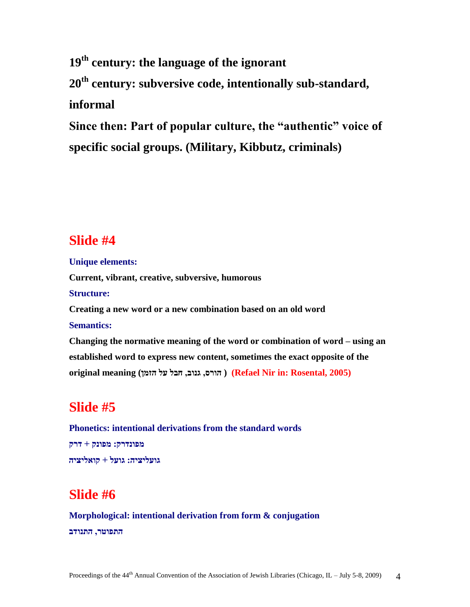**19th century: the language of the ignorant 20th century: subversive code, intentionally sub-standard, informal**

**Since then: Part of popular culture, the "authentic" voice of specific social groups. (Military, Kibbutz, criminals)**

## **Slide #4**

**Unique elements: Current, vibrant, creative, subversive, humorous Structure: Creating a new word or a new combination based on an old word Semantics: Changing the normative meaning of the word or combination of word – using an established word to express new content, sometimes the exact opposite of the original meaning (הזמן על חבל ,גנוב ,הורס) ( Refael Nir in: Rosental, 2005)**

# **Slide #5**

**Phonetics: intentional derivations from the standard words מפונדרק: מפונק + דרק גועליציה: גועל + קואליציה**

# **Slide #6**

**Morphological: intentional derivation from form & conjugation התפוטר, התנודב**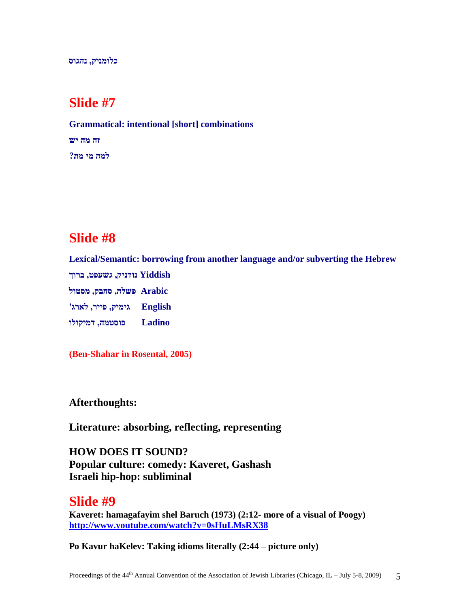**כלומניק, נהגוס**

## **Slide #7**

**Grammatical: intentional [short] combinations זה מה יש למה מי מת?**

## **Slide #8**

**Lexical/Semantic: borrowing from another language and/or subverting the Hebrew Yiddish נודניק, גשעפט, ברוך Arabic פשלה, סחבק, מסטול English גימיק, פייר, לארג' Ladino פוסטמה, דמיקולו**

**(Ben-Shahar in Rosental, 2005)**

**Afterthoughts:**

**Literature: absorbing, reflecting, representing**

**HOW DOES IT SOUND? Popular culture: comedy: Kaveret, Gashash Israeli hip-hop: subliminal**

**Slide #9 Kaveret: hamagafayim shel Baruch (1973) (2:12- more of a visual of Poogy) <http://www.youtube.com/watch?v=0sHuLMsRX38>**

**Po Kavur haKelev: Taking idioms literally (2:44 – picture only)**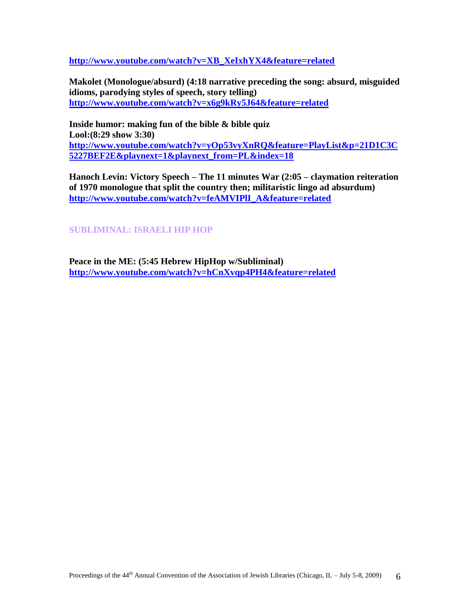**[http://www.youtube.com/watch?v=XB\\_XeIxhYX4&feature=related](http://www.youtube.com/watch?v=XB_XeIxhYX4&feature=related)**

**Makolet (Monologue/absurd) (4:18 narrative preceding the song: absurd, misguided idioms, parodying styles of speech, story telling) <http://www.youtube.com/watch?v=x6g9kRy5J64&feature=related>**

**Inside humor: making fun of the bible & bible quiz Lool:(8:29 show 3:30) [http://www.youtube.com/watch?v=yOp53vyXnRQ&feature=PlayList&p=21D1C3C](http://www.youtube.com/watch?v=yOp53vyXnRQ&feature=PlayList&p=21D1C3C5227BEF2E&playnext=1&playnext_from=PL&index=18) [5227BEF2E&playnext=1&playnext\\_from=PL&index=18](http://www.youtube.com/watch?v=yOp53vyXnRQ&feature=PlayList&p=21D1C3C5227BEF2E&playnext=1&playnext_from=PL&index=18)**

**Hanoch Levin: Victory Speech – The 11 minutes War (2:05 – claymation reiteration of 1970 monologue that split the country then; militaristic lingo ad absurdum) [http://www.youtube.com/watch?v=feAMVIPlI\\_A&feature=related](http://www.youtube.com/watch?v=feAMVIPlI_A&feature=related)**

#### **SUBLIMINAL: ISRAELI HIP HOP**

**Peace in the ME: (5:45 Hebrew HipHop w/Subliminal) <http://www.youtube.com/watch?v=hCnXvqp4PH4&feature=related>**